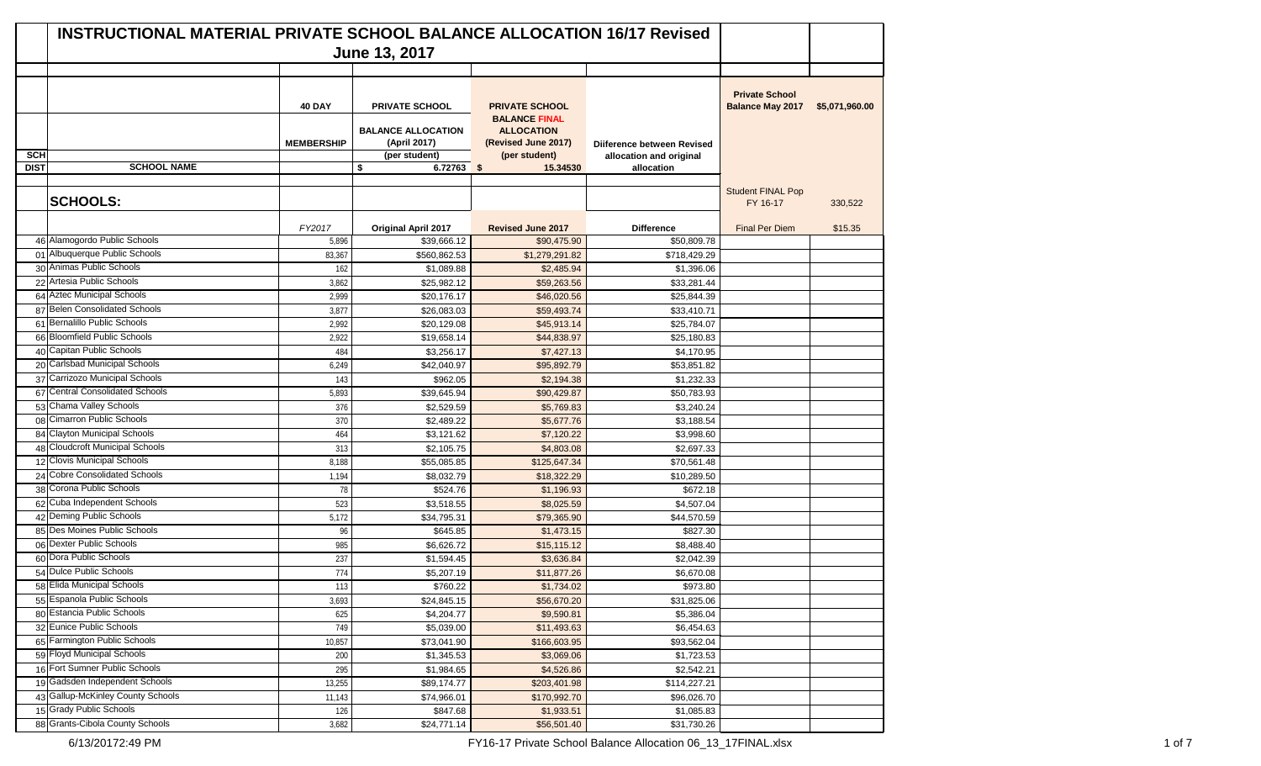|             | <b>INSTRUCTIONAL MATERIAL PRIVATE SCHOOL BALANCE ALLOCATION 16/17 Revised</b> |                   |                                           |                                               |                            |                                                  |                |
|-------------|-------------------------------------------------------------------------------|-------------------|-------------------------------------------|-----------------------------------------------|----------------------------|--------------------------------------------------|----------------|
|             |                                                                               |                   | June 13, 2017                             |                                               |                            |                                                  |                |
|             |                                                                               |                   |                                           |                                               |                            |                                                  |                |
|             |                                                                               | <b>40 DAY</b>     | <b>PRIVATE SCHOOL</b>                     | <b>PRIVATE SCHOOL</b><br><b>BALANCE FINAL</b> |                            | <b>Private School</b><br><b>Balance May 2017</b> | \$5,071,960.00 |
|             |                                                                               | <b>MEMBERSHIP</b> | <b>BALANCE ALLOCATION</b><br>(April 2017) | <b>ALLOCATION</b><br>(Revised June 2017)      | Diiference between Revised |                                                  |                |
| <b>SCH</b>  |                                                                               |                   | (per student)                             | (per student)                                 | allocation and original    |                                                  |                |
| <b>DIST</b> | <b>SCHOOL NAME</b>                                                            |                   | \$<br>$6.72763$ \$                        | 15.34530                                      | allocation                 |                                                  |                |
|             |                                                                               |                   |                                           |                                               |                            |                                                  |                |
|             | <b>SCHOOLS:</b>                                                               |                   |                                           |                                               |                            | <b>Student FINAL Pop</b><br>FY 16-17             | 330,522        |
|             |                                                                               | FY2017            | <b>Original April 2017</b>                | <b>Revised June 2017</b>                      | <b>Difference</b>          | <b>Final Per Diem</b>                            | \$15.35        |
|             | 46 Alamogordo Public Schools                                                  | 5,896             | \$39.666.12                               | \$90,475.90                                   | \$50,809.78                |                                                  |                |
|             | 01 Albuquerque Public Schools                                                 | 83,367            | \$560,862.53                              | \$1,279,291.82                                | \$718,429.29               |                                                  |                |
|             | 30 Animas Public Schools                                                      | 162               | \$1,089.88                                | \$2,485.94                                    | \$1,396.06                 |                                                  |                |
|             | 22 Artesia Public Schools                                                     | 3,862             | \$25,982.12                               | \$59,263.56                                   | \$33,281.44                |                                                  |                |
|             | 64 Aztec Municipal Schools                                                    | 2,999             | \$20,176.17                               | \$46,020.56                                   | \$25,844.39                |                                                  |                |
|             | 87 Belen Consolidated Schools                                                 | 3,877             | \$26,083.03                               | \$59,493.74                                   | \$33,410.71                |                                                  |                |
|             | 61 Bernalillo Public Schools                                                  | 2,992             | \$20,129.08                               | \$45,913.14                                   | \$25,784.07                |                                                  |                |
|             | 66 Bloomfield Public Schools                                                  | 2,922             | \$19,658.14                               | \$44,838.97                                   | \$25,180.83                |                                                  |                |
|             | 40 Capitan Public Schools                                                     | 484               | \$3,256.17                                | \$7,427.13                                    | \$4,170.95                 |                                                  |                |
|             | 20 Carlsbad Municipal Schools                                                 | 6,249             | \$42,040.97                               | \$95,892.79                                   | \$53,851.82                |                                                  |                |
|             | 37 Carrizozo Municipal Schools                                                | 143               | \$962.05                                  | \$2,194.38                                    | \$1,232.33                 |                                                  |                |
|             | 67 Central Consolidated Schools                                               | 5,893             | \$39,645.94                               | \$90,429.87                                   | \$50,783.93                |                                                  |                |
|             | 53 Chama Valley Schools                                                       | 376               | \$2,529.59                                | \$5,769.83                                    | \$3,240.24                 |                                                  |                |
|             | 08 Cimarron Public Schools                                                    | 370               | \$2,489.22                                | \$5,677.76                                    | \$3,188.54                 |                                                  |                |
|             | 84 Clayton Municipal Schools                                                  | 464               | \$3,121.62                                | \$7,120.22                                    | \$3,998.60                 |                                                  |                |
|             | 48 Cloudcroft Municipal Schools                                               | 313               | \$2,105.75                                | \$4,803.08                                    | \$2,697.33                 |                                                  |                |
|             | 12 Clovis Municipal Schools                                                   | 8,188             | \$55,085.85                               | \$125,647.34                                  | \$70,561.48                |                                                  |                |
|             | 24 Cobre Consolidated Schools                                                 | 1,194             | \$8,032.79                                | \$18,322.29                                   | \$10,289.50                |                                                  |                |
|             | 38 Corona Public Schools                                                      | 78                | \$524.76                                  | \$1,196.93                                    | \$672.18                   |                                                  |                |
|             | 62 Cuba Independent Schools                                                   | 523               | \$3,518.55                                | \$8,025.59                                    | \$4,507.04                 |                                                  |                |
|             | 42 Deming Public Schools                                                      | 5,172             | \$34,795.31                               | \$79,365.90                                   | \$44,570.59                |                                                  |                |
|             | 85 Des Moines Public Schools                                                  | 96                | \$645.85                                  | \$1,473.15                                    | \$827.30                   |                                                  |                |
|             | 06 Dexter Public Schools                                                      | 985               | \$6,626.72                                | \$15,115.12                                   | \$8,488.40                 |                                                  |                |
|             | 60 Dora Public Schools                                                        | 237               | \$1,594.45                                | \$3,636.84                                    | \$2,042.39                 |                                                  |                |
|             | 54 Dulce Public Schools                                                       | 774               | \$5,207.19                                | \$11,877.26                                   | \$6,670.08                 |                                                  |                |
|             | 58 Elida Municipal Schools                                                    | 113               | \$760.22                                  | \$1,734.02                                    | \$973.80                   |                                                  |                |
|             | 55 Espanola Public Schools                                                    | 3,693             | \$24,845.15                               | \$56,670.20                                   | \$31,825.06                |                                                  |                |
|             | 80 Estancia Public Schools<br>32 Eunice Public Schools                        | 625               | \$4,204.77                                | \$9,590.81                                    | \$5,386.04                 |                                                  |                |
|             |                                                                               | 749               | \$5,039.00                                | \$11,493.63                                   | \$6,454.63                 |                                                  |                |
|             | 65 Farmington Public Schools                                                  | 10,857            | \$73,041.90                               | \$166,603.95                                  | \$93,562.04                |                                                  |                |
|             | 59 Floyd Municipal Schools<br>16 Fort Sumner Public Schools                   | 200               | \$1,345.53                                | \$3,069.06                                    | \$1,723.53                 |                                                  |                |
|             | 19 Gadsden Independent Schools                                                | 295               | \$1,984.65                                | \$4,526.86                                    | \$2,542.21                 |                                                  |                |
|             | 43 Gallup-McKinley County Schools                                             | 13,255            | \$89,174.77                               | \$203,401.98                                  | \$114,227.21               |                                                  |                |
|             | 15 Grady Public Schools                                                       | 11,143            | \$74,966.01                               | \$170,992.70                                  | \$96,026.70                |                                                  |                |
|             | 88 Grants-Cibola County Schools                                               | 126               | \$847.68                                  | \$1,933.51                                    | \$1,085.83                 |                                                  |                |
|             |                                                                               | 3,682             | \$24,771.14                               | \$56,501.40                                   | \$31,730.26                |                                                  |                |

6/13/20172:49 PM 6/19/20172:49 PM 6/13/20172:49 PM 6/13/20172:49 PM 6/13/20172:49 PM 6/13/20172:49 PM 6/1 of 7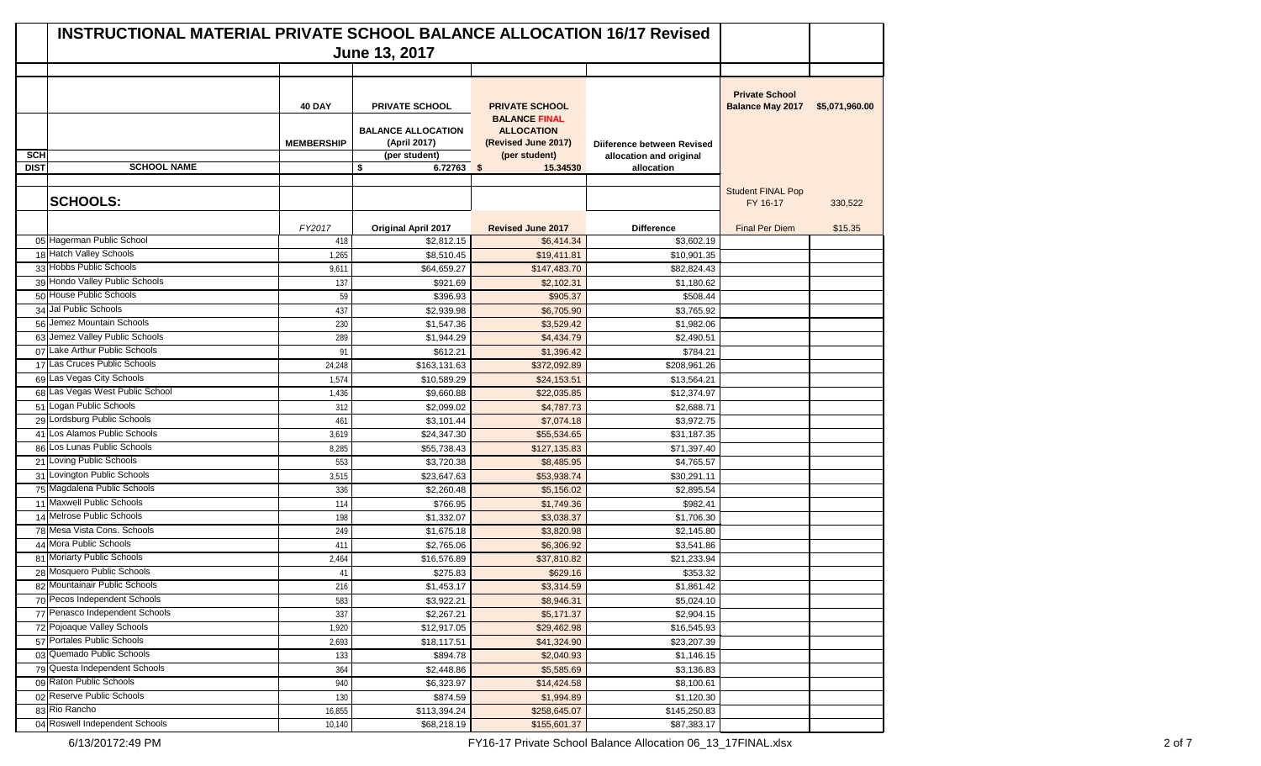|             | <b>INSTRUCTIONAL MATERIAL PRIVATE SCHOOL BALANCE ALLOCATION 16/17 Revised</b> |                                    | June 13, 2017                                                                       |                                                                                                            |                                                       |                                                  |                |
|-------------|-------------------------------------------------------------------------------|------------------------------------|-------------------------------------------------------------------------------------|------------------------------------------------------------------------------------------------------------|-------------------------------------------------------|--------------------------------------------------|----------------|
|             |                                                                               |                                    |                                                                                     |                                                                                                            |                                                       |                                                  |                |
| <b>SCH</b>  |                                                                               | <b>40 DAY</b><br><b>MEMBERSHIP</b> | <b>PRIVATE SCHOOL</b><br><b>BALANCE ALLOCATION</b><br>(April 2017)<br>(per student) | <b>PRIVATE SCHOOL</b><br><b>BALANCE FINAL</b><br><b>ALLOCATION</b><br>(Revised June 2017)<br>(per student) | Diiference between Revised<br>allocation and original | <b>Private School</b><br><b>Balance May 2017</b> | \$5,071,960.00 |
| <b>DIST</b> | <b>SCHOOL NAME</b>                                                            |                                    | \$<br>6.72763 \$                                                                    | 15.34530                                                                                                   | allocation                                            |                                                  |                |
|             | <b>SCHOOLS:</b>                                                               |                                    |                                                                                     |                                                                                                            |                                                       | <b>Student FINAL Pop</b><br>FY 16-17             | 330,522        |
|             |                                                                               | FY2017                             | <b>Original April 2017</b>                                                          | <b>Revised June 2017</b>                                                                                   | <b>Difference</b>                                     | <b>Final Per Diem</b>                            | \$15.35        |
|             | 05 Hagerman Public School                                                     | 418                                | \$2,812.15                                                                          | \$6,414.34                                                                                                 | \$3,602.19                                            |                                                  |                |
|             | 18 Hatch Valley Schools                                                       | 1,265                              | \$8,510.45                                                                          | \$19,411.81                                                                                                | \$10,901.35                                           |                                                  |                |
|             | 33 Hobbs Public Schools                                                       | 9,611                              | \$64,659.27                                                                         | \$147,483.70                                                                                               | \$82,824.43                                           |                                                  |                |
|             | 39 Hondo Valley Public Schools                                                | 137                                | \$921.69                                                                            | \$2,102.31                                                                                                 | \$1,180.62                                            |                                                  |                |
|             | 50 House Public Schools                                                       | 59                                 | \$396.93                                                                            | \$905.37                                                                                                   | \$508.44                                              |                                                  |                |
|             | 34 Jal Public Schools                                                         | 437                                | \$2,939.98                                                                          | \$6,705.90                                                                                                 | \$3,765.92                                            |                                                  |                |
|             | 56 Jemez Mountain Schools                                                     | 230                                | \$1,547.36                                                                          | \$3,529.42                                                                                                 | \$1,982.06                                            |                                                  |                |
|             | 63 Jemez Valley Public Schools                                                | 289                                | \$1,944.29                                                                          | \$4,434.79                                                                                                 | \$2,490.51                                            |                                                  |                |
|             | 07 Lake Arthur Public Schools                                                 | 91                                 | \$612.21                                                                            | \$1,396.42                                                                                                 | \$784.21                                              |                                                  |                |
|             | 17 Las Cruces Public Schools                                                  | 24,248                             | \$163,131.63                                                                        | \$372,092.89                                                                                               | \$208,961.26                                          |                                                  |                |
|             | 69 Las Vegas City Schools                                                     | 1,574                              | \$10,589.29                                                                         | \$24,153.51                                                                                                | \$13,564.21                                           |                                                  |                |
|             | 68 Las Vegas West Public School                                               | 1,436                              | \$9,660.88                                                                          | \$22,035.85                                                                                                | $\overline{$}12,374.97$                               |                                                  |                |
|             | 51 Logan Public Schools                                                       | 312                                | \$2,099.02                                                                          | \$4,787.73                                                                                                 | \$2,688.71                                            |                                                  |                |
|             | 29 Lordsburg Public Schools                                                   | 461                                | \$3,101.44                                                                          | \$7,074.18                                                                                                 | \$3,972.75                                            |                                                  |                |
|             | 41 Los Alamos Public Schools                                                  | 3,619                              | \$24,347.30                                                                         | \$55,534.65                                                                                                | \$31,187.35                                           |                                                  |                |
|             | 86 Los Lunas Public Schools                                                   | 8,285                              | \$55,738.43                                                                         | \$127,135.83                                                                                               | \$71,397.40                                           |                                                  |                |
|             | 21 Loving Public Schools                                                      | 553                                | \$3,720.38                                                                          | \$8,485.95                                                                                                 | \$4,765.57                                            |                                                  |                |
|             | 31 Lovington Public Schools                                                   | 3,515                              | \$23,647.63                                                                         | \$53,938.74                                                                                                | \$30,291.11                                           |                                                  |                |
|             | 75 Magdalena Public Schools                                                   | 336                                | \$2,260.48                                                                          | \$5,156.02                                                                                                 | \$2,895.54                                            |                                                  |                |
|             | 11 Maxwell Public Schools                                                     | 114                                | \$766.95                                                                            | \$1,749.36                                                                                                 | \$982.41                                              |                                                  |                |
|             | 14 Melrose Public Schools                                                     | 198                                | \$1,332.07                                                                          | \$3,038.37                                                                                                 | \$1,706.30                                            |                                                  |                |
|             | 78 Mesa Vista Cons. Schools                                                   | 249                                | \$1,675.18                                                                          | \$3,820.98                                                                                                 | \$2,145.80                                            |                                                  |                |
|             | 44 Mora Public Schools                                                        | 411                                | \$2,765.06                                                                          | \$6,306.92                                                                                                 | \$3,541.86                                            |                                                  |                |
|             | 81 Moriarty Public Schools                                                    | 2,464                              | \$16,576.89                                                                         | \$37,810.82                                                                                                | \$21,233.94                                           |                                                  |                |
|             | 28 Mosquero Public Schools                                                    | 41                                 | \$275.83                                                                            | \$629.16                                                                                                   | \$353.32                                              |                                                  |                |
|             | 82 Mountainair Public Schools                                                 | 216                                | \$1,453.17                                                                          | \$3,314.59                                                                                                 | \$1,861.42                                            |                                                  |                |
|             | 70 Pecos Independent Schools                                                  | 583                                | \$3,922.21                                                                          | \$8,946.31                                                                                                 | \$5,024.10                                            |                                                  |                |
|             | 77 Penasco Independent Schools                                                | 337                                | \$2,267.21                                                                          | \$5,171.37                                                                                                 | \$2,904.15                                            |                                                  |                |
|             | 72 Pojoaque Valley Schools                                                    | 1,920                              | \$12,917.05                                                                         | \$29,462.98                                                                                                | \$16,545.93                                           |                                                  |                |
|             | 57 Portales Public Schools                                                    | 2,693                              | \$18,117.51                                                                         | \$41,324.90                                                                                                | \$23,207.39                                           |                                                  |                |
|             | 03 Quemado Public Schools<br>79 Questa Independent Schools                    | 133                                | \$894.78                                                                            | \$2,040.93                                                                                                 | \$1,146.15                                            |                                                  |                |
|             | 09 Raton Public Schools                                                       | 364                                | \$2,448.86                                                                          | \$5,585.69                                                                                                 | \$3,136.83                                            |                                                  |                |
|             | 02 Reserve Public Schools                                                     | 940                                | \$6,323.97                                                                          | \$14,424.58                                                                                                | \$8,100.61                                            |                                                  |                |
|             | 83 Rio Rancho                                                                 | 130                                | \$874.59                                                                            | \$1,994.89                                                                                                 | \$1,120.30                                            |                                                  |                |
|             | 04 Roswell Independent Schools                                                | 16,855                             | \$113,394.24                                                                        | \$258,645.07                                                                                               | \$145,250.83                                          |                                                  |                |
|             |                                                                               | 10,140                             | \$68,218.19                                                                         | \$155,601.37                                                                                               | \$87,383.17                                           |                                                  |                |

6/13/20172:49 PM FY16-17 Private School Balance Allocation 06\_13\_17FINAL.xlsx 2 of 7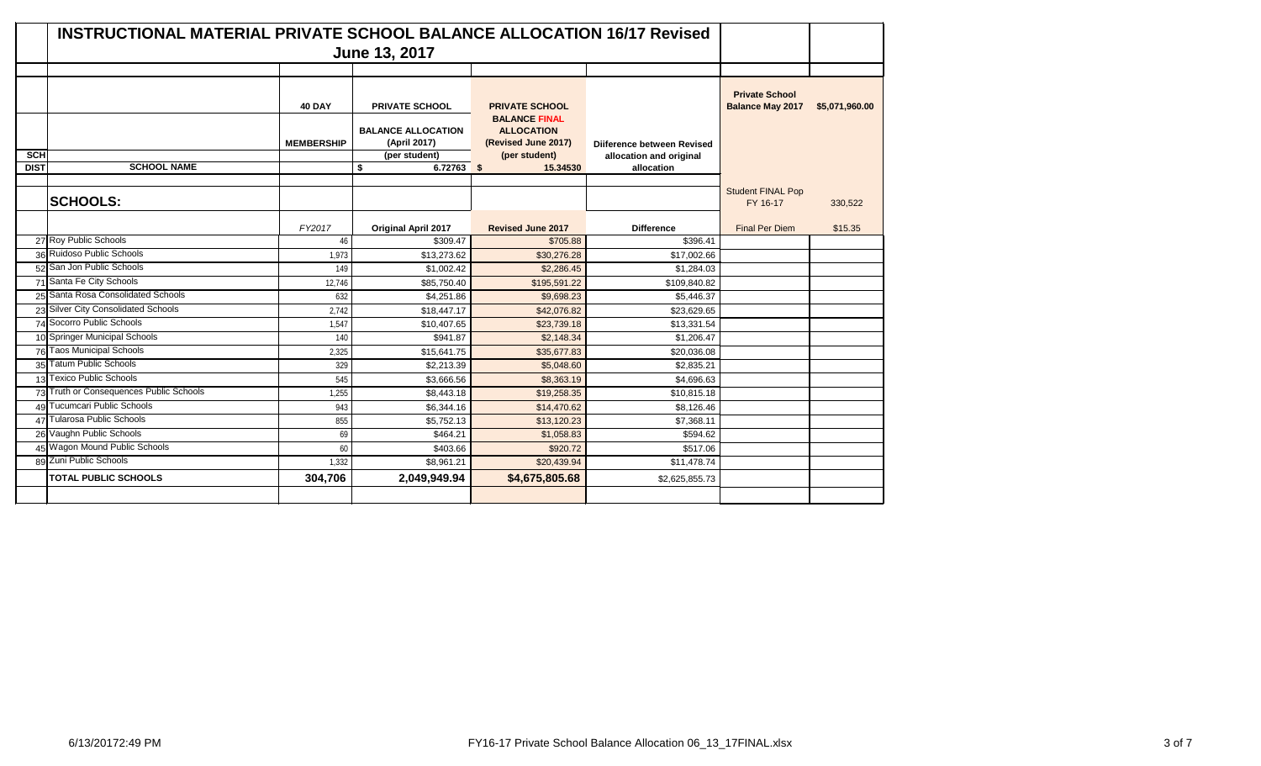|                           | INSTRUCTIONAL MATERIAL PRIVATE SCHOOL BALANCE ALLOCATION 16/17 Revised |                   |                                           |                                                                  |                                       |                                                  |                |
|---------------------------|------------------------------------------------------------------------|-------------------|-------------------------------------------|------------------------------------------------------------------|---------------------------------------|--------------------------------------------------|----------------|
|                           |                                                                        |                   |                                           |                                                                  |                                       |                                                  |                |
|                           |                                                                        | <b>40 DAY</b>     | <b>PRIVATE SCHOOL</b>                     | <b>PRIVATE SCHOOL</b>                                            |                                       | <b>Private School</b><br><b>Balance May 2017</b> | \$5,071,960.00 |
|                           |                                                                        | <b>MEMBERSHIP</b> | <b>BALANCE ALLOCATION</b><br>(April 2017) | <b>BALANCE FINAL</b><br><b>ALLOCATION</b><br>(Revised June 2017) | <b>Diiference between Revised</b>     |                                                  |                |
| <b>SCH</b><br><b>DIST</b> | <b>SCHOOL NAME</b>                                                     |                   | (per student)<br>\$<br>6.72763 \$         | (per student)<br>15.34530                                        | allocation and original<br>allocation |                                                  |                |
|                           |                                                                        |                   |                                           |                                                                  |                                       |                                                  |                |
|                           | <b>SCHOOLS:</b>                                                        |                   |                                           |                                                                  |                                       | <b>Student FINAL Pop</b><br>FY 16-17             | 330,522        |
|                           |                                                                        | FY2017            | <b>Original April 2017</b>                | <b>Revised June 2017</b>                                         | <b>Difference</b>                     | <b>Final Per Diem</b>                            | \$15.35        |
|                           | 27 Roy Public Schools                                                  | 46                | \$309.47                                  | \$705.88                                                         | \$396.41                              |                                                  |                |
|                           | 36 Ruidoso Public Schools                                              | 1,973             | \$13,273.62                               | \$30,276.28                                                      | \$17,002.66                           |                                                  |                |
|                           | 52 San Jon Public Schools                                              | 149               | \$1,002.42                                | \$2,286.45                                                       | \$1,284.03                            |                                                  |                |
|                           | 71 Santa Fe City Schools                                               | 12,746            | \$85,750.40                               | \$195,591.22                                                     | \$109,840.82                          |                                                  |                |
|                           | 25 Santa Rosa Consolidated Schools                                     | 632               | \$4,251.86                                | \$9,698.23                                                       | \$5,446.37                            |                                                  |                |
|                           | 23 Silver City Consolidated Schools                                    | 2,742             | \$18,447.17                               | \$42,076.82                                                      | \$23,629.65                           |                                                  |                |
|                           | 74 Socorro Public Schools                                              | 1,547             | \$10,407.65                               | \$23,739.18                                                      | \$13,331.54                           |                                                  |                |
|                           | 10 Springer Municipal Schools                                          | 140               | \$941.87                                  | \$2,148.34                                                       | \$1,206.47                            |                                                  |                |
|                           | 76 Taos Municipal Schools                                              | 2,325             | \$15,641.75                               | \$35,677.83                                                      | \$20,036.08                           |                                                  |                |
|                           | 35 Tatum Public Schools                                                | 329               | \$2.213.39                                | \$5,048.60                                                       | \$2,835.21                            |                                                  |                |
|                           | 13 Texico Public Schools                                               | 545               | \$3,666.56                                | \$8,363.19                                                       | \$4,696.63                            |                                                  |                |
|                           | 73 Truth or Consequences Public Schools                                | 1,255             | \$8,443.18                                | \$19,258.35                                                      | \$10,815.18                           |                                                  |                |
| 49                        | <b>Tucumcari Public Schools</b>                                        | 943               | \$6.344.16                                | \$14,470.62                                                      | \$8,126.46                            |                                                  |                |
|                           | 47 Tularosa Public Schools                                             | 855               | \$5,752.13                                | \$13,120.23                                                      | \$7,368.11                            |                                                  |                |
|                           | 26 Vaughn Public Schools                                               | 69                | \$464.21                                  | \$1,058.83                                                       | \$594.62                              |                                                  |                |
|                           | 45 Wagon Mound Public Schools                                          | 60                | \$403.66                                  | \$920.72                                                         | \$517.06                              |                                                  |                |
|                           | 89 Zuni Public Schools                                                 | 1,332             | \$8,961.21                                | \$20,439.94                                                      | \$11,478.74                           |                                                  |                |
|                           | <b>TOTAL PUBLIC SCHOOLS</b>                                            | 304,706           | 2,049,949.94                              | \$4,675,805.68                                                   | \$2,625,855.73                        |                                                  |                |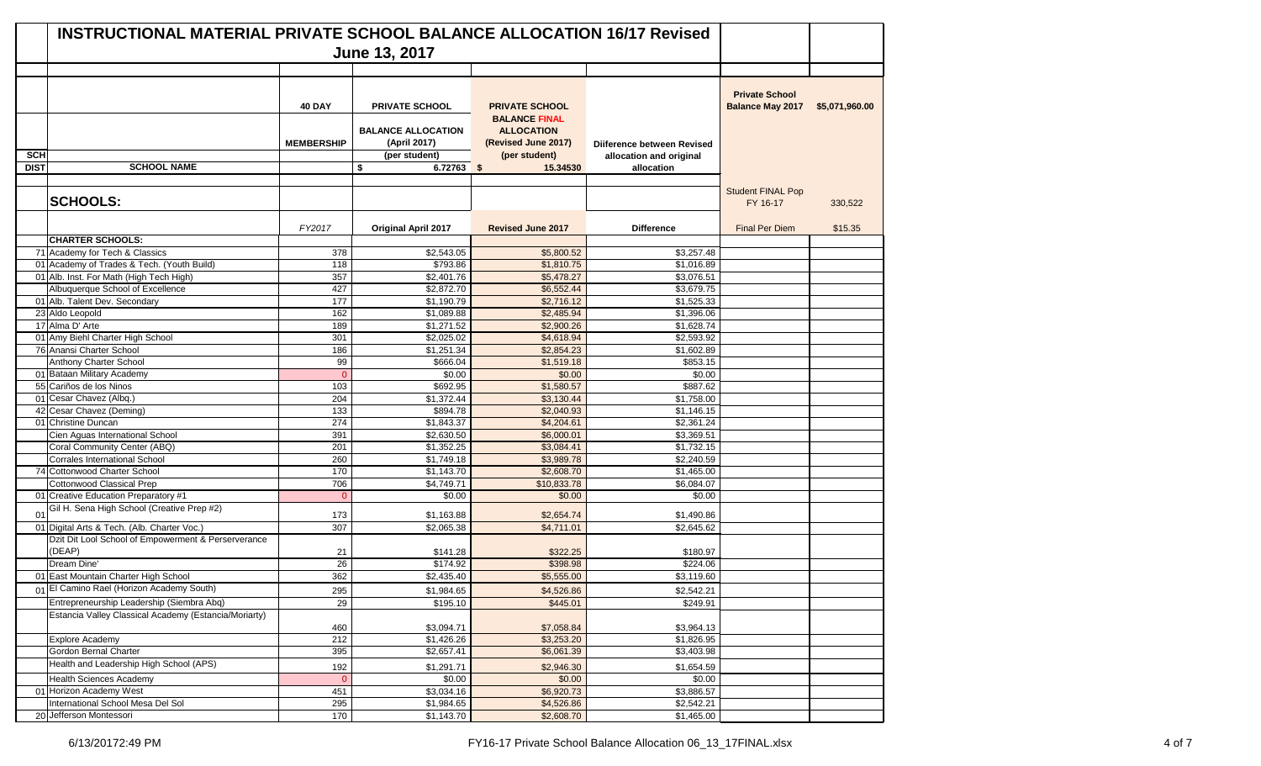|             | <b>INSTRUCTIONAL MATERIAL PRIVATE SCHOOL BALANCE ALLOCATION 16/17 Revised</b> |                   |                                           |                                                                  |                            |                                                  |                |
|-------------|-------------------------------------------------------------------------------|-------------------|-------------------------------------------|------------------------------------------------------------------|----------------------------|--------------------------------------------------|----------------|
|             |                                                                               |                   | June 13, 2017                             |                                                                  |                            |                                                  |                |
|             |                                                                               |                   |                                           |                                                                  |                            |                                                  |                |
|             |                                                                               | <b>40 DAY</b>     | <b>PRIVATE SCHOOL</b>                     | <b>PRIVATE SCHOOL</b>                                            |                            | <b>Private School</b><br><b>Balance May 2017</b> | \$5,071,960.00 |
|             |                                                                               | <b>MEMBERSHIP</b> | <b>BALANCE ALLOCATION</b><br>(April 2017) | <b>BALANCE FINAL</b><br><b>ALLOCATION</b><br>(Revised June 2017) | Diiference between Revised |                                                  |                |
| <b>SCH</b>  |                                                                               |                   | (per student)                             | (per student)                                                    | allocation and original    |                                                  |                |
| <b>DIST</b> | <b>SCHOOL NAME</b>                                                            |                   | $6.72763$ \$<br>\$                        | 15.34530                                                         | allocation                 |                                                  |                |
|             |                                                                               |                   |                                           |                                                                  |                            |                                                  |                |
|             | <b>SCHOOLS:</b>                                                               |                   |                                           |                                                                  |                            | <b>Student FINAL Pop</b><br>FY 16-17             | 330,522        |
|             |                                                                               | FY2017            | <b>Original April 2017</b>                | <b>Revised June 2017</b>                                         | <b>Difference</b>          | <b>Final Per Diem</b>                            | \$15.35        |
|             | <b>CHARTER SCHOOLS:</b>                                                       |                   |                                           |                                                                  |                            |                                                  |                |
|             | 71 Academy for Tech & Classics                                                | 378               | \$2,543.05                                | \$5,800.52                                                       | \$3,257.48                 |                                                  |                |
|             | 01 Academy of Trades & Tech. (Youth Build)                                    | 118               | \$793.86                                  | \$1,810.75                                                       | \$1,016.89                 |                                                  |                |
|             | 01 Alb. Inst. For Math (High Tech High)                                       | 357               | $\overline{$2,401.76}$                    | \$5,478.27                                                       | \$3.076.51                 |                                                  |                |
|             | Albuquerque School of Excellence                                              | 427               | \$2,872.70                                | \$6,552.44                                                       | \$3,679.75                 |                                                  |                |
|             | 01 Alb. Talent Dev. Secondary                                                 | 177               | \$1,190.79                                | \$2,716.12                                                       | \$1,525.33                 |                                                  |                |
|             | 23 Aldo Leopold                                                               | 162               | \$1,089.88                                | \$2,485.94                                                       | \$1,396.06                 |                                                  |                |
|             | 17 Alma D' Arte                                                               | 189               | \$1,271.52                                | \$2,900.26                                                       | \$1,628.74                 |                                                  |                |
|             | 01 Amy Biehl Charter High School                                              | 301               | \$2,025.02                                | \$4,618.94                                                       | \$2.593.92                 |                                                  |                |
|             | 76 Anansi Charter School                                                      | 186               | \$1,251.34                                | \$2,854.23                                                       | \$1,602.89                 |                                                  |                |
|             | Anthony Charter School                                                        | 99                | \$666.04                                  | \$1,519.18                                                       | \$853.15                   |                                                  |                |
|             | 01 Bataan Military Academy                                                    | $\Omega$          | \$0.00                                    | \$0.00                                                           | \$0.00                     |                                                  |                |
|             | 55 Cariños de los Ninos                                                       | 103               | \$692.95                                  | \$1,580.57                                                       | \$887.62                   |                                                  |                |
|             | 01 Cesar Chavez (Albq.)                                                       | 204               | \$1,372.44                                | \$3,130.44                                                       | \$1,758.00                 |                                                  |                |
|             | 42 Cesar Chavez (Deming)                                                      | 133               | \$894.78                                  | \$2,040.93                                                       | \$1,146.15                 |                                                  |                |
|             | 01 Christine Duncan                                                           | 274               | \$1,843.37                                | \$4,204.61                                                       | \$2,361.24                 |                                                  |                |
|             | Cien Aguas International School                                               | 391               | \$2,630.50                                | \$6,000.01                                                       | \$3,369.51                 |                                                  |                |
|             | Coral Community Center (ABQ)                                                  | 201               | \$1,352.25                                | \$3,084.41                                                       | \$1,732.15                 |                                                  |                |
|             | <b>Corrales International School</b>                                          | 260               | \$1,749.18                                | \$3,989.78                                                       | \$2,240.59                 |                                                  |                |
|             | 74 Cottonwood Charter School<br>Cottonwood Classical Prep                     | 170<br>706        | \$1,143.70                                | \$2,608.70                                                       | \$1,465.00                 |                                                  |                |
|             | 01 Creative Education Preparatory #1                                          | $\Omega$          | \$4,749.71<br>\$0.00                      | \$10,833.78<br>\$0.00                                            | \$6,084.07<br>\$0.00       |                                                  |                |
| 01          | Gil H. Sena High School (Creative Prep #2)                                    | 173               | \$1,163.88                                | \$2,654.74                                                       | \$1,490.86                 |                                                  |                |
|             | 01 Digital Arts & Tech. (Alb. Charter Voc.)                                   | 307               | \$2,065.38                                | \$4,711.01                                                       | \$2,645.62                 |                                                  |                |
|             | Dzit Dit Lool School of Empowerment & Perserverance                           |                   |                                           |                                                                  |                            |                                                  |                |
|             | (DEAP)                                                                        | 21                | \$141.28                                  | \$322.25                                                         | \$180.97                   |                                                  |                |
|             | Dream Dine'                                                                   | 26                | \$174.92                                  | \$398.98                                                         | \$224.06                   |                                                  |                |
|             | 01 East Mountain Charter High School                                          | 362               | \$2,435.40                                | \$5,555.00                                                       | \$3,119.60                 |                                                  |                |
|             | 01 El Camino Rael (Horizon Academy South)                                     | 295               | \$1,984.65                                | \$4,526.86                                                       | \$2,542.21                 |                                                  |                |
|             | Entrepreneurship Leadership (Siembra Abq)                                     | 29                | \$195.10                                  | \$445.01                                                         | \$249.91                   |                                                  |                |
|             | Estancia Valley Classical Academy (Estancia/Moriarty)                         |                   |                                           |                                                                  |                            |                                                  |                |
|             |                                                                               | 460               | \$3,094.71                                | \$7,058.84                                                       | \$3,964.13                 |                                                  |                |
|             | Explore Academy                                                               | 212               | \$1,426.26                                | \$3,253.20                                                       | \$1,826.95                 |                                                  |                |
|             | Gordon Bernal Charter                                                         | 395               | \$2,657.41                                | \$6,061.39                                                       | \$3,403.98                 |                                                  |                |
|             | Health and Leadership High School (APS)                                       | 192               | \$1,291.71                                | \$2,946.30                                                       | \$1,654.59                 |                                                  |                |
|             | <b>Health Sciences Academy</b>                                                | $\overline{0}$    | \$0.00                                    | \$0.00                                                           | \$0.00                     |                                                  |                |
|             | 01 Horizon Academy West                                                       | 451               | \$3,034.16                                | \$6,920.73                                                       | \$3,886.57                 |                                                  |                |
|             | International School Mesa Del Sol                                             | 295               | \$1,984.65                                | \$4,526.86                                                       | \$2,542.21                 |                                                  |                |
|             | 20 Jefferson Montessori                                                       | 170               | \$1,143.70                                | \$2,608.70                                                       | \$1,465.00                 |                                                  |                |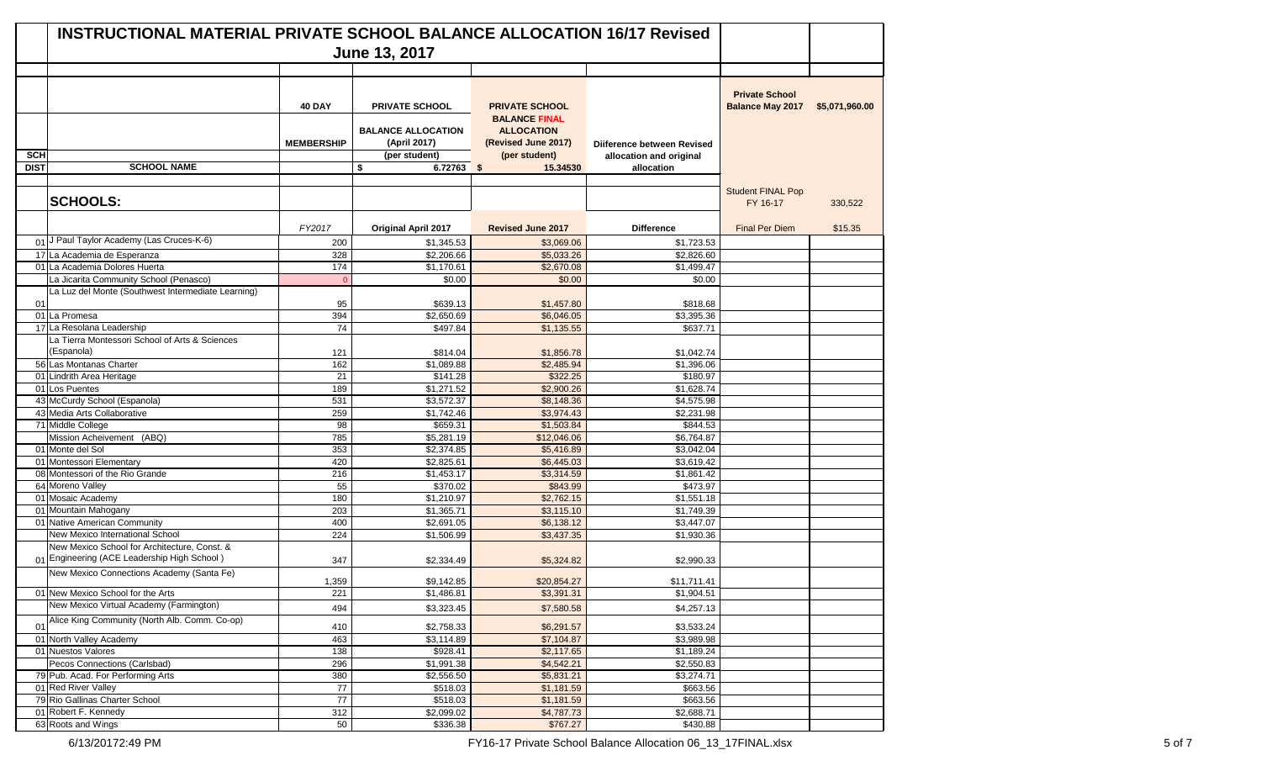|                | <b>INSTRUCTIONAL MATERIAL PRIVATE SCHOOL BALANCE ALLOCATION 16/17 Revised</b> |                   |                                           |                                               |                            |                                                  |                |
|----------------|-------------------------------------------------------------------------------|-------------------|-------------------------------------------|-----------------------------------------------|----------------------------|--------------------------------------------------|----------------|
|                |                                                                               |                   | June 13, 2017                             |                                               |                            |                                                  |                |
|                |                                                                               | <b>40 DAY</b>     | <b>PRIVATE SCHOOL</b>                     | <b>PRIVATE SCHOOL</b><br><b>BALANCE FINAL</b> |                            | <b>Private School</b><br><b>Balance May 2017</b> | \$5,071,960.00 |
|                |                                                                               | <b>MEMBERSHIP</b> | <b>BALANCE ALLOCATION</b><br>(April 2017) | <b>ALLOCATION</b><br>(Revised June 2017)      | Diiference between Revised |                                                  |                |
| <b>SCH</b>     |                                                                               |                   | (per student)                             | (per student)                                 | allocation and original    |                                                  |                |
| <b>DIST</b>    | <b>SCHOOL NAME</b>                                                            |                   | \$<br>$6.72763$ \$                        | 15.34530                                      | allocation                 |                                                  |                |
|                |                                                                               |                   |                                           |                                               |                            |                                                  |                |
|                | <b>SCHOOLS:</b>                                                               |                   |                                           |                                               |                            | <b>Student FINAL Pop</b><br>FY 16-17             | 330,522        |
|                |                                                                               | FY2017            | <b>Original April 2017</b>                | <b>Revised June 2017</b>                      | <b>Difference</b>          | <b>Final Per Diem</b>                            | \$15.35        |
|                | 01 J Paul Taylor Academy (Las Cruces-K-6)                                     | 200               | \$1.345.53                                | \$3,069.06                                    | \$1,723.53                 |                                                  |                |
|                | 17 La Academia de Esperanza                                                   | 328               | \$2,206.66                                | \$5,033.26                                    | \$2,826.60                 |                                                  |                |
|                | 01 La Academia Dolores Huerta                                                 | 174               | \$1,170.61                                | \$2,670.08                                    | \$1,499.47                 |                                                  |                |
|                | La Jicarita Community School (Penasco)                                        | $\Omega$          | \$0.00                                    | \$0.00                                        | \$0.00                     |                                                  |                |
|                | La Luz del Monte (Southwest Intermediate Learning)                            |                   |                                           |                                               |                            |                                                  |                |
| 01             |                                                                               | 95                | \$639.13                                  | \$1,457.80                                    | \$818.68                   |                                                  |                |
|                | 01 La Promesa                                                                 | 394               | \$2,650.69                                | \$6,046.05                                    | \$3,395.36                 |                                                  |                |
|                | 17 La Resolana Leadership                                                     | $\overline{74}$   | \$497.84                                  | \$1,135.55                                    | \$637.71                   |                                                  |                |
|                | La Tierra Montessori School of Arts & Sciences                                |                   |                                           |                                               |                            |                                                  |                |
|                | (Espanola)                                                                    | 121               | \$814.04                                  | \$1,856.78                                    | \$1,042.74                 |                                                  |                |
|                | 56 Las Montanas Charter                                                       | 162               | \$1,089.88                                | \$2,485.94                                    | \$1,396.06                 |                                                  |                |
|                | 01 Lindrith Area Heritage                                                     | 21                | \$141.28                                  | \$322.25                                      | \$180.97                   |                                                  |                |
|                | 01 Los Puentes                                                                | 189               | \$1,271.52                                | \$2,900.26                                    | \$1,628.74                 |                                                  |                |
|                | 43 McCurdy School (Espanola)                                                  | 531               | \$3,572.37                                | \$8,148.36                                    | \$4,575.98                 |                                                  |                |
|                | 43 Media Arts Collaborative                                                   | 259               | \$1,742.46                                | \$3,974.43                                    | \$2,231.98                 |                                                  |                |
|                | 71 Middle College                                                             | 98                | \$659.31                                  | \$1,503.84                                    | \$844.53                   |                                                  |                |
|                | Mission Acheivement (ABQ)                                                     | 785               | \$5,281.19                                | \$12,046.06                                   | \$6,764.87                 |                                                  |                |
|                | 01 Monte del Sol                                                              | 353               | \$2,374.85                                | \$5,416.89                                    | \$3,042.04                 |                                                  |                |
|                | 01 Montessori Elementary                                                      | 420               | \$2,825.61                                | \$6,445.03                                    | \$3,619.42                 |                                                  |                |
|                | 08 Montessori of the Rio Grande                                               | 216               | \$1,453.17                                | \$3,314.59                                    | \$1,861.42                 |                                                  |                |
|                | 64 Moreno Valley                                                              | 55<br>180         | \$370.02                                  | \$843.99                                      | \$473.97                   |                                                  |                |
|                | 01 Mosaic Academy<br>01 Mountain Mahogany                                     | 203               | \$1,210.97<br>$\overline{$1,365.71}$      | \$2,762.15<br>\$3,115.10                      | \$1,551.18<br>\$1,749.39   |                                                  |                |
|                | 01 Native American Community                                                  | 400               | \$2,691.05                                | \$6,138.12                                    | \$3,447.07                 |                                                  |                |
|                | New Mexico International School                                               | 224               | \$1,506.99                                | \$3,437.35                                    | \$1,930.36                 |                                                  |                |
|                | New Mexico School for Architecture, Const. &                                  |                   |                                           |                                               |                            |                                                  |                |
|                | 01 Engineering (ACE Leadership High School)                                   | 347               | \$2,334.49                                | \$5,324.82                                    | \$2,990.33                 |                                                  |                |
|                | New Mexico Connections Academy (Santa Fe)                                     |                   |                                           |                                               |                            |                                                  |                |
|                |                                                                               | 1,359             | \$9,142.85                                | \$20,854.27                                   | \$11,711.41                |                                                  |                |
|                | 01 New Mexico School for the Arts                                             | 221               | \$1,486.81                                | \$3,391.31                                    | \$1,904.51                 |                                                  |                |
|                | New Mexico Virtual Academy (Farmington)                                       | 494               | \$3,323.45                                | \$7,580.58                                    | \$4,257.13                 |                                                  |                |
| 0 <sub>1</sub> | Alice King Community (North Alb. Comm. Co-op)                                 | 410               | \$2,758.33                                | \$6,291.57                                    | \$3,533.24                 |                                                  |                |
|                | 01 North Valley Academy                                                       | 463               | \$3,114.89                                | \$7,104.87                                    | \$3,989.98                 |                                                  |                |
|                | 01 Nuestos Valores                                                            | $\overline{138}$  | \$928.41                                  | \$2,117.65                                    | \$1,189.24                 |                                                  |                |
|                | Pecos Connections (Carlsbad)                                                  | 296               | \$1,991.38                                | \$4,542.21                                    | \$2,550.83                 |                                                  |                |
|                | 79 Pub. Acad. For Performing Arts                                             | 380               | \$2,556.50                                | \$5,831.21                                    | \$3,274.71                 |                                                  |                |
|                | 01 Red River Valley                                                           | $\overline{77}$   | \$518.03                                  | \$1,181.59                                    | \$663.56                   |                                                  |                |
|                | 79 Rio Gallinas Charter School                                                | 77                | \$518.03                                  | \$1,181.59                                    | \$663.56                   |                                                  |                |
|                | 01 Robert F. Kennedy                                                          | 312               | \$2,099.02                                | \$4,787.73                                    | $\overline{$2,688.71}$     |                                                  |                |
|                | 63 Roots and Wings                                                            | $50\,$            | \$336.38                                  | \$767.27                                      | \$430.88                   |                                                  |                |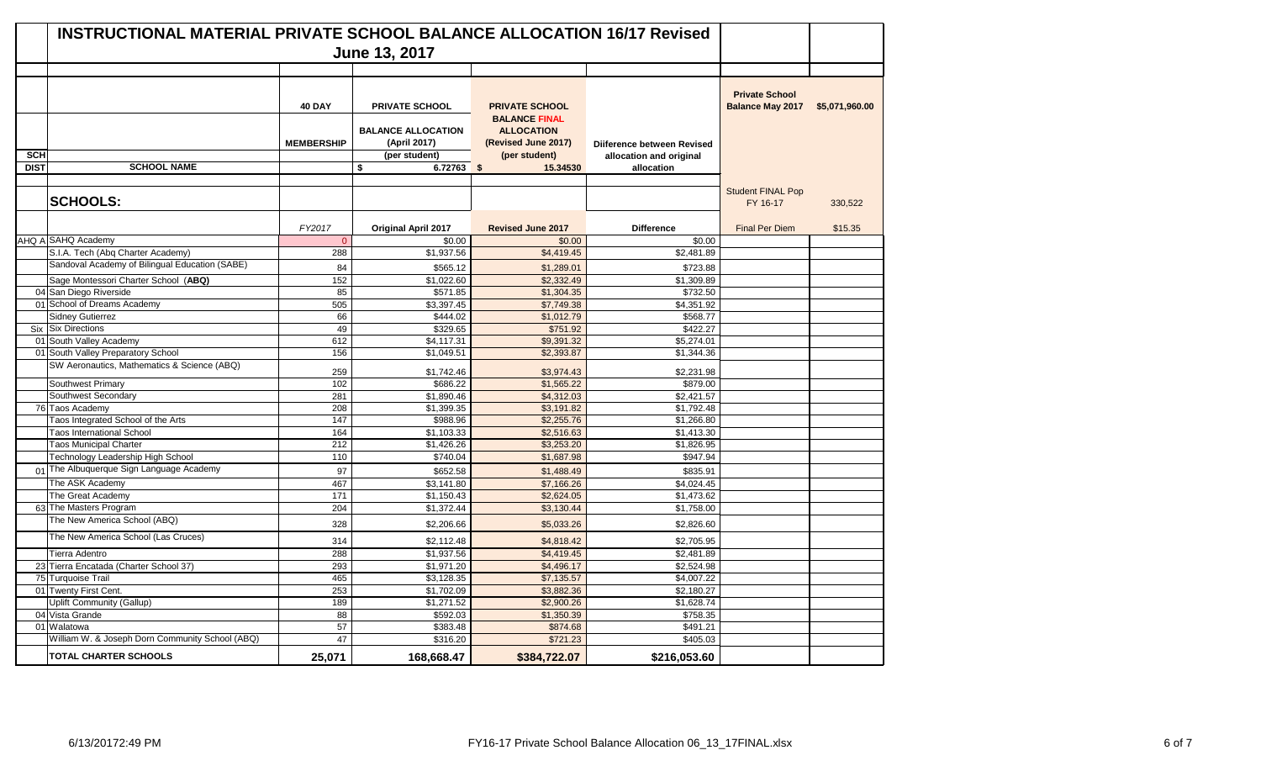| <b>INSTRUCTIONAL MATERIAL PRIVATE SCHOOL BALANCE ALLOCATION 16/17 Revised</b> |                                                 |                   |                                                            |                                                                                   |                                                       |                                                  |                |  |
|-------------------------------------------------------------------------------|-------------------------------------------------|-------------------|------------------------------------------------------------|-----------------------------------------------------------------------------------|-------------------------------------------------------|--------------------------------------------------|----------------|--|
|                                                                               |                                                 |                   | June 13, 2017                                              |                                                                                   |                                                       |                                                  |                |  |
|                                                                               |                                                 |                   |                                                            |                                                                                   |                                                       |                                                  |                |  |
|                                                                               |                                                 | <b>40 DAY</b>     | <b>PRIVATE SCHOOL</b>                                      | <b>PRIVATE SCHOOL</b>                                                             |                                                       | <b>Private School</b><br><b>Balance May 2017</b> | \$5,071,960.00 |  |
| <b>SCH</b>                                                                    |                                                 | <b>MEMBERSHIP</b> | <b>BALANCE ALLOCATION</b><br>(April 2017)<br>(per student) | <b>BALANCE FINAL</b><br><b>ALLOCATION</b><br>(Revised June 2017)<br>(per student) | Dijference between Revised<br>allocation and original |                                                  |                |  |
| <b>DIST</b>                                                                   | <b>SCHOOL NAME</b>                              |                   | 6.72763 \$<br>\$                                           | 15.34530                                                                          | allocation                                            |                                                  |                |  |
|                                                                               | <b>SCHOOLS:</b>                                 |                   |                                                            |                                                                                   |                                                       | <b>Student FINAL Pop</b><br>FY 16-17             | 330,522        |  |
|                                                                               |                                                 | FY2017            | <b>Original April 2017</b>                                 | <b>Revised June 2017</b>                                                          | <b>Difference</b>                                     | <b>Final Per Diem</b>                            | \$15.35        |  |
|                                                                               | AHQ A SAHQ Academy                              | $\Omega$          | \$0.00                                                     | \$0.00                                                                            | \$0.00                                                |                                                  |                |  |
|                                                                               | S.I.A. Tech (Abq Charter Academy)               | 288               | \$1,937.56                                                 | \$4,419.45                                                                        | $\overline{$2,481.89}$                                |                                                  |                |  |
|                                                                               | Sandoval Academy of Bilingual Education (SABE)  | 84                | \$565.12                                                   | \$1,289.01                                                                        | \$723.88                                              |                                                  |                |  |
|                                                                               | Sage Montessori Charter School (ABQ)            | 152               | \$1,022.60                                                 | \$2,332.49                                                                        | \$1,309.89                                            |                                                  |                |  |
|                                                                               | 04 San Diego Riverside                          | 85                | \$571.85                                                   | \$1,304.35                                                                        | \$732.50                                              |                                                  |                |  |
|                                                                               | 01 School of Dreams Academy                     | 505               | \$3,397.45                                                 | $\overline{$7,749.38}$                                                            | \$4,351.92                                            |                                                  |                |  |
|                                                                               | Sidney Gutierrez                                | 66                | \$444.02                                                   | \$1,012.79                                                                        | \$568.77                                              |                                                  |                |  |
|                                                                               | Six Six Directions                              | 49                | \$329.65                                                   | \$751.92                                                                          | \$422.27                                              |                                                  |                |  |
|                                                                               | 01 South Valley Academy                         | 612               | \$4,117.31                                                 | \$9,391.32                                                                        | \$5,274.01                                            |                                                  |                |  |
|                                                                               | 01 South Valley Preparatory School              | 156               | \$1,049.51                                                 | \$2,393.87                                                                        | \$1,344.36                                            |                                                  |                |  |
|                                                                               | SW Aeronautics, Mathematics & Science (ABQ)     | 259               | \$1,742.46                                                 | \$3,974.43                                                                        | \$2,231.98                                            |                                                  |                |  |
|                                                                               | Southwest Primary                               | 102               | \$686.22                                                   | \$1,565.22                                                                        | \$879.00                                              |                                                  |                |  |
|                                                                               | Southwest Secondary                             | 281               | \$1,890.46                                                 | \$4,312.03                                                                        | \$2,421.57                                            |                                                  |                |  |
|                                                                               | 76 Taos Academy                                 | 208               | \$1,399.35                                                 | \$3,191.82                                                                        | \$1,792.48                                            |                                                  |                |  |
|                                                                               | Taos Integrated School of the Arts              | 147               | \$988.96                                                   | \$2,255.76                                                                        | \$1,266.80                                            |                                                  |                |  |
|                                                                               | <b>Taos International School</b>                | 164               | \$1,103.33                                                 | \$2,516.63                                                                        | \$1,413.30                                            |                                                  |                |  |
|                                                                               | <b>Taos Municipal Charter</b>                   | 212               | \$1,426.26                                                 | \$3,253.20                                                                        | \$1,826.95                                            |                                                  |                |  |
|                                                                               | Technology Leadership High School               | 110               | \$740.04                                                   | \$1,687.98                                                                        | \$947.94                                              |                                                  |                |  |
|                                                                               | 01 The Albuquerque Sign Language Academy        | 97                | \$652.58                                                   | \$1,488.49                                                                        | \$835.91                                              |                                                  |                |  |
|                                                                               | The ASK Academy                                 | 467               | \$3,141.80                                                 | \$7,166.26                                                                        | \$4,024.45                                            |                                                  |                |  |
|                                                                               | The Great Academy                               | 171               | $\overline{$1,150.43}$                                     | \$2,624.05                                                                        | \$1,473.62                                            |                                                  |                |  |
|                                                                               | 63 The Masters Program                          | 204               | \$1,372.44                                                 | \$3,130.44                                                                        | \$1,758.00                                            |                                                  |                |  |
|                                                                               | The New America School (ABQ)                    | 328               | \$2,206.66                                                 | \$5,033.26                                                                        | \$2,826.60                                            |                                                  |                |  |
|                                                                               | The New America School (Las Cruces)             | 314               | \$2,112.48                                                 | \$4,818.42                                                                        | \$2,705.95                                            |                                                  |                |  |
|                                                                               | Tierra Adentro                                  | 288               | \$1,937.56                                                 | \$4,419.45                                                                        | \$2,481.89                                            |                                                  |                |  |
|                                                                               | 23 Tierra Encatada (Charter School 37)          | 293               | \$1,971.20                                                 | \$4,496.17                                                                        | \$2,524.98                                            |                                                  |                |  |
|                                                                               | 75 Turquoise Trail                              | 465               | \$3,128.35                                                 | \$7,135.57                                                                        | \$4,007.22                                            |                                                  |                |  |
|                                                                               | 01 Twenty First Cent.                           | 253               | \$1,702.09                                                 | \$3,882.36                                                                        | \$2,180.27                                            |                                                  |                |  |
|                                                                               | Uplift Community (Gallup)                       | 189               | \$1,271.52                                                 | \$2,900.26                                                                        | \$1,628.74                                            |                                                  |                |  |
|                                                                               | 04 Vista Grande                                 | 88                | \$592.03                                                   | \$1,350.39                                                                        | \$758.35                                              |                                                  |                |  |
|                                                                               | 01 Walatowa                                     | 57                | \$383.48                                                   | \$874.68                                                                          | \$491.21                                              |                                                  |                |  |
|                                                                               | William W. & Joseph Dorn Community School (ABQ) | 47                | \$316.20                                                   | \$721.23                                                                          | \$405.03                                              |                                                  |                |  |
|                                                                               | <b>TOTAL CHARTER SCHOOLS</b>                    | 25,071            | 168,668.47                                                 | \$384,722.07                                                                      | \$216,053.60                                          |                                                  |                |  |